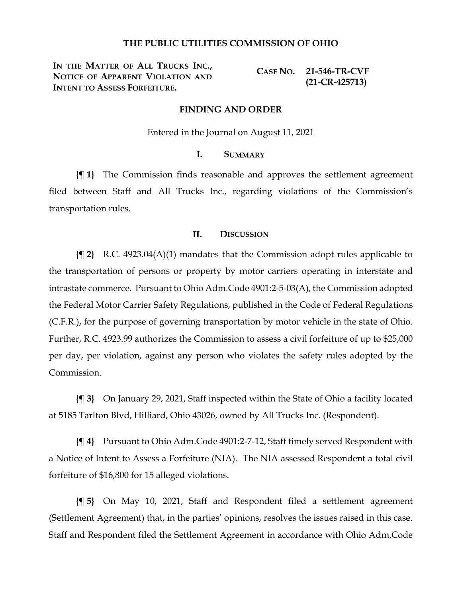### **THE PUBLIC UTILITIES COMMISSION OF OHIO**

**IN THE MATTER OF ALL TRUCKS INC., NOTICE OF APPARENT VIOLATION AND INTENT TO ASSESS FORFEITURE.**

**CASE NO. 21-546-TR-CVF (21-CR-425713)**

#### **FINDING AND ORDER**

Entered in the Journal on August 11, 2021

## **I. SUMMARY**

**{¶ 1}** The Commission finds reasonable and approves the settlement agreement filed between Staff and All Trucks Inc., regarding violations of the Commission's transportation rules.

#### **II. DISCUSSION**

**{¶ 2}** R.C. 4923.04(A)(1) mandates that the Commission adopt rules applicable to the transportation of persons or property by motor carriers operating in interstate and intrastate commerce. Pursuant to Ohio Adm.Code 4901:2-5-03(A), the Commission adopted the Federal Motor Carrier Safety Regulations, published in the Code of Federal Regulations (C.F.R.), for the purpose of governing transportation by motor vehicle in the state of Ohio. Further, R.C. 4923.99 authorizes the Commission to assess a civil forfeiture of up to \$25,000 per day, per violation, against any person who violates the safety rules adopted by the Commission.

**{¶ 3}** On January 29, 2021, Staff inspected within the State of Ohio a facility located at 5185 Tarlton Blvd, Hilliard, Ohio 43026, owned by All Trucks Inc. (Respondent).

**{¶ 4}** Pursuant to Ohio Adm.Code 4901:2-7-12, Staff timely served Respondent with a Notice of Intent to Assess a Forfeiture (NIA). The NIA assessed Respondent a total civil forfeiture of \$16,800 for 15 alleged violations.

**{¶ 5}** On May 10, 2021, Staff and Respondent filed a settlement agreement (Settlement Agreement) that, in the parties' opinions, resolves the issues raised in this case. Staff and Respondent filed the Settlement Agreement in accordance with Ohio Adm.Code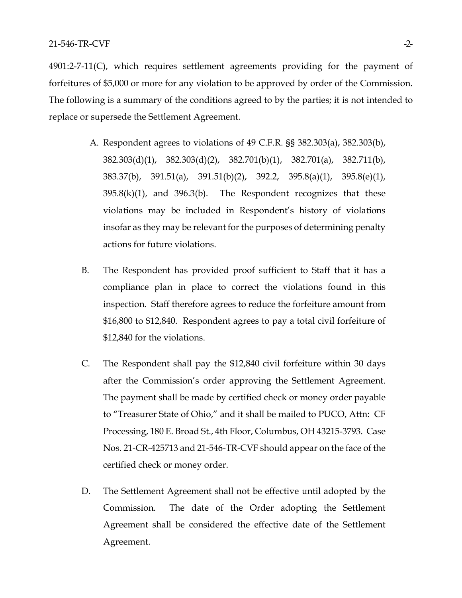4901:2-7-11(C), which requires settlement agreements providing for the payment of forfeitures of \$5,000 or more for any violation to be approved by order of the Commission. The following is a summary of the conditions agreed to by the parties; it is not intended to replace or supersede the Settlement Agreement.

- A. Respondent agrees to violations of 49 C.F.R. §§ 382.303(a), 382.303(b), 382.303(d)(1), 382.303(d)(2), 382.701(b)(1), 382.701(a), 382.711(b), 383.37(b), 391.51(a), 391.51(b)(2), 392.2, 395.8(a)(1), 395.8(e)(1),  $395.8(k)(1)$ , and  $396.3(k)$ . The Respondent recognizes that these violations may be included in Respondent's history of violations insofar as they may be relevant for the purposes of determining penalty actions for future violations.
- B. The Respondent has provided proof sufficient to Staff that it has a compliance plan in place to correct the violations found in this inspection. Staff therefore agrees to reduce the forfeiture amount from \$16,800 to \$12,840. Respondent agrees to pay a total civil forfeiture of \$12,840 for the violations.
- C. The Respondent shall pay the \$12,840 civil forfeiture within 30 days after the Commission's order approving the Settlement Agreement. The payment shall be made by certified check or money order payable to "Treasurer State of Ohio," and it shall be mailed to PUCO, Attn: CF Processing, 180 E. Broad St., 4th Floor, Columbus, OH 43215-3793. Case Nos. 21-CR-425713 and 21-546-TR-CVF should appear on the face of the certified check or money order.
- D. The Settlement Agreement shall not be effective until adopted by the Commission. The date of the Order adopting the Settlement Agreement shall be considered the effective date of the Settlement Agreement.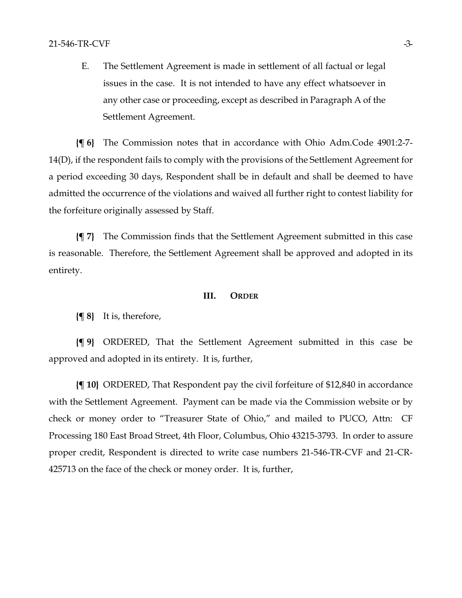E. The Settlement Agreement is made in settlement of all factual or legal issues in the case. It is not intended to have any effect whatsoever in any other case or proceeding, except as described in Paragraph A of the Settlement Agreement.

**{¶ 6}** The Commission notes that in accordance with Ohio Adm.Code 4901:2-7- 14(D), if the respondent fails to comply with the provisions of the Settlement Agreement for a period exceeding 30 days, Respondent shall be in default and shall be deemed to have admitted the occurrence of the violations and waived all further right to contest liability for the forfeiture originally assessed by Staff.

**{¶ 7}** The Commission finds that the Settlement Agreement submitted in this case is reasonable. Therefore, the Settlement Agreement shall be approved and adopted in its entirety.

#### **III. ORDER**

**{¶ 8}** It is, therefore,

**{¶ 9}** ORDERED, That the Settlement Agreement submitted in this case be approved and adopted in its entirety. It is, further,

**{¶ 10}** ORDERED, That Respondent pay the civil forfeiture of \$12,840 in accordance with the Settlement Agreement. Payment can be made via the Commission website or by check or money order to "Treasurer State of Ohio," and mailed to PUCO, Attn: CF Processing 180 East Broad Street, 4th Floor, Columbus, Ohio 43215-3793. In order to assure proper credit, Respondent is directed to write case numbers 21-546-TR-CVF and 21-CR-425713 on the face of the check or money order. It is, further,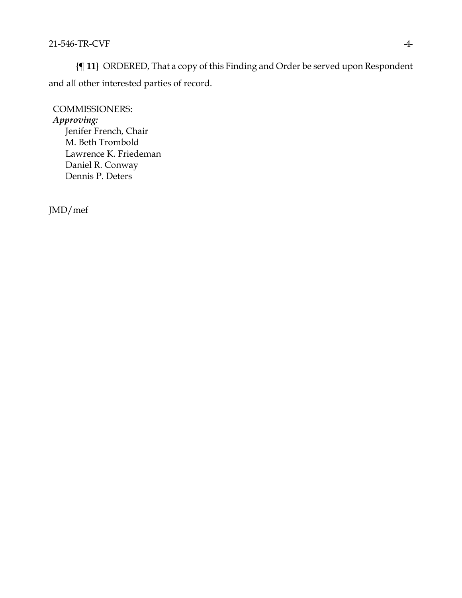**{¶ 11}** ORDERED, That a copy of this Finding and Order be served upon Respondent and all other interested parties of record.

COMMISSIONERS: *Approving:*  Jenifer French, Chair M. Beth Trombold Lawrence K. Friedeman Daniel R. Conway Dennis P. Deters

JMD/mef